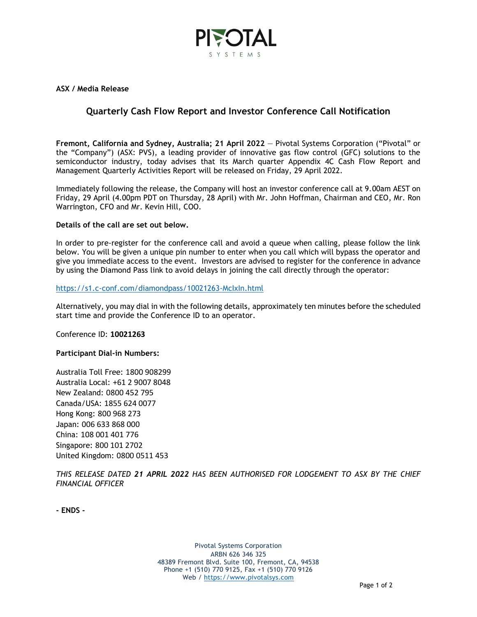

**ASX / Media Release**

# **Quarterly Cash Flow Report and Investor Conference Call Notification**

**Fremont, California and Sydney, Australia; 21 April 2022** — Pivotal Systems Corporation ("Pivotal" or the "Company") (ASX: PVS), a leading provider of innovative gas flow control (GFC) solutions to the semiconductor industry, today advises that its March quarter Appendix 4C Cash Flow Report and Management Quarterly Activities Report will be released on Friday, 29 April 2022.

Immediately following the release, the Company will host an investor conference call at 9.00am AEST on Friday, 29 April (4.00pm PDT on Thursday, 28 April) with Mr. John Hoffman, Chairman and CEO, Mr. Ron Warrington, CFO and Mr. Kevin Hill, COO.

## **Details of the call are set out below.**

In order to pre-register for the conference call and avoid a queue when calling, please follow the link below. You will be given a unique pin number to enter when you call which will bypass the operator and give you immediate access to the event. Investors are advised to register for the conference in advance by using the Diamond Pass link to avoid delays in joining the call directly through the operator:

### <https://s1.c-conf.com/diamondpass/10021263-McIxIn.html>

Alternatively, you may dial in with the following details, approximately ten minutes before the scheduled start time and provide the Conference ID to an operator.

Conference ID: **10021263**

# **Participant Dial-in Numbers:**

Australia Toll Free: 1800 908299 Australia Local: +61 2 9007 8048 New Zealand: 0800 452 795 Canada/USA: 1855 624 0077 Hong Kong: 800 968 273 Japan: 006 633 868 000 China: 108 001 401 776 Singapore: 800 101 2702 United Kingdom: 0800 0511 453

*THIS RELEASE DATED 21 APRIL 2022 HAS BEEN AUTHORISED FOR LODGEMENT TO ASX BY THE CHIEF FINANCIAL OFFICER*

**- ENDS -**